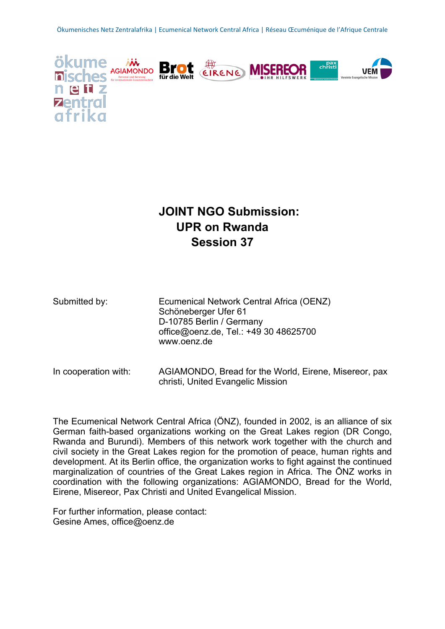

# **JOINT NGO Submission: UPR on Rwanda Session 37**

| Submitted by: | Ecumenical Network Central Africa (OENZ) |
|---------------|------------------------------------------|
|               | Schöneberger Ufer 61                     |
|               | D-10785 Berlin / Germany                 |
|               | office@oenz.de, Tel.: +49 30 48625700    |
|               | www.oenz.de                              |
|               |                                          |

In cooperation with: AGIAMONDO, Bread for the World, Eirene, Misereor, pax christi, United Evangelic Mission

The Ecumenical Network Central Africa (ÖNZ), founded in 2002, is an alliance of six German faith-based organizations working on the Great Lakes region (DR Congo, Rwanda and Burundi). Members of this network work together with the church and civil society in the Great Lakes region for the promotion of peace, human rights and development. At its Berlin office, the organization works to fight against the continued marginalization of countries of the Great Lakes region in Africa. The ÖNZ works in coordination with the following organizations: AGIAMONDO, Bread for the World, Eirene, Misereor, Pax Christi and United Evangelical Mission.

For further information, please contact: Gesine Ames, office@oenz.de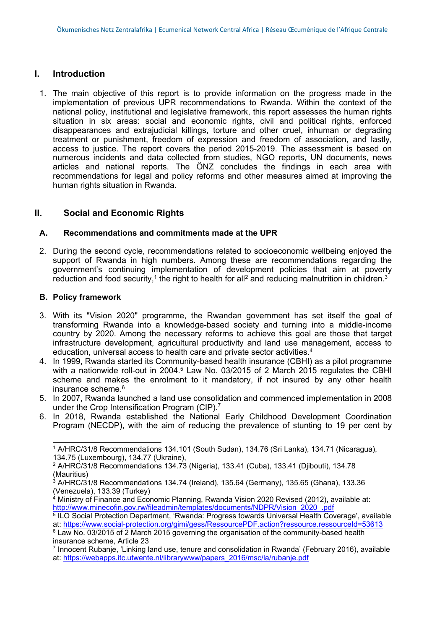#### **I. Introduction**

1. The main objective of this report is to provide information on the progress made in the implementation of previous UPR recommendations to Rwanda. Within the context of the national policy, institutional and legislative framework, this report assesses the human rights situation in six areas: social and economic rights, civil and political rights, enforced disappearances and extrajudicial killings, torture and other cruel, inhuman or degrading treatment or punishment, freedom of expression and freedom of association, and lastly, access to justice. The report covers the period 2015-2019. The assessment is based on numerous incidents and data collected from studies, NGO reports, UN documents, news articles and national reports. The ÖNZ concludes the findings in each area with recommendations for legal and policy reforms and other measures aimed at improving the human rights situation in Rwanda.

### **II. Social and Economic Rights**

#### **A. Recommendations and commitments made at the UPR**

2. During the second cycle, recommendations related to socioeconomic wellbeing enjoyed the support of Rwanda in high numbers. Among these are recommendations regarding the government'<sup>s</sup> continuing implementation of development policies that aim at poverty reduction and food security,<sup>1</sup> the right to health for all<sup>2</sup> and reducing malnutrition in children. $^3$ 

#### **B. Policy framework**

- 3. With its "Vision 2020" programme, the Rwandan government has set itself the goal of transforming Rwanda into <sup>a</sup> knowledge-based society and turning into <sup>a</sup> middle-income country by 2020. Among the necessary reforms to achieve this goal are those that target infrastructure development, agricultural productivity and land use management, access to education, universal access to health care and private sector activities. 4
- 4. In 1999, Rwanda started its Community-based health insurance (CBHI) as <sup>a</sup> pilot programme with a nationwide roll-out in 2004.<sup>5</sup> Law No. 03/2015 of 2 March 2015 regulates the CBHl scheme and makes the enrolment to it mandatory, if not insured by any other health insurance scheme. 6
- 5. In 2007, Rwanda launched <sup>a</sup> land use consolidation and commenced implementation in 2008 under the Crop Intensification Program (CIP). $^7$
- 6. In 2018, Rwanda established the National Early Childhood Development Coordination Program (NECDP), with the aim of reducing the prevalence of stunting to 19 per cent by

- $3$  A/HRC/31/8 Recommendations 134.74 (Ireland), 135.64 (Germany), 135.65 (Ghana), 133.36 (Venezuela), 133.39 (Turkey)
- <sup>4</sup> Ministry of Finance and Economic Planning, Rwanda Vision 2020 Revised (2012), available at: [http://www.minecofin.gov.rw/fileadmin/templates/documents/NDPR/Vision\\_2020\\_.pdf](http://www.minecofin.gov.rw/fileadmin/templates/documents/NDPR/Vision_2020_.pdf)
- 5 ILO Social Protection Department, 'Rwanda: Progress towards Universal Health Coverage', available at: <https://www.social-protection.org/gimi/gess/RessourcePDF.action?ressource.ressourceId=53613>

7 Innocent Rubanje, 'Linking land use, tenure and consolidation in Rwanda' (February 2016), available at: [https://webapps.itc.utwente.nl/librarywww/papers\\_2016/msc/la/rubanje.pdf](https://webapps.itc.utwente.nl/librarywww/papers_2016/msc/la/rubanje.pdf)

<sup>1</sup> A/HRC/31/8 Recommendations 134.101 (South Sudan), 134.76 (Sri Lanka), 134.71 (Nicaragua), 134.75 (Luxembourg), 134.77 (Ukraine),

<sup>2</sup> A/HRC/31/8 Recommendations 134.73 (Nigeria), 133.41 (Cuba), 133.41 (Djibouti), 134.78 (Mauritius)

<sup>6</sup> Law No. 03/2015 of 2 March 2015 governing the organisation of the community-based health insurance scheme, Article 23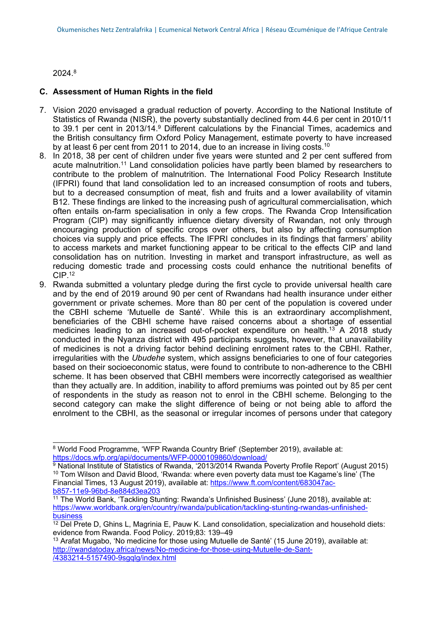2024. 8

#### **C. Assessment of Human Rights in the field**

- 7. Vision 2020 envisaged <sup>a</sup> gradual reduction of poverty. According to the National Institute of Statistics of Rwanda (NISR), the poverty substantially declined from 44.6 per cent in 2010/11 to 39.1 per cent in 2013/14. <sup>9</sup> Different calculations by the Financial Times, academics and the British consultancy firm Oxford Policy Management, estimate poverty to have increased by at least 6 per cent from 2011 to 2014, due to an increase in living costs. $^{\rm 10}$
- 8. In 2018, 38 per cent of children under five years were stunted and 2 per cent suffered from acute malnutrition.<sup>11</sup> Land consolidation policies have partly been blamed by researchers to contribute to the problem of malnutrition. The International Food Policy Research Institute (IFPRI) found that land consolidation led to an increased consumption of roots and tubers, but to <sup>a</sup> decreased consumption of meat, fish and fruits and <sup>a</sup> lower availability of vitamin B12. These findings are linked to the increasing push of agricultural commercialisation, which often entails on-farm specialisation in only <sup>a</sup> few crops. The Rwanda Crop Intensification Program (CIP) may significantly influence dietary diversity of Rwandan, not only through encouraging production of specific crops over others, but also by affecting consumption choices via supply and price effects. The IFPRI concludes in its findings that farmers' ability to access markets and market functioning appear to be critical to the effects CIP and land consolidation has on nutrition. Investing in market and transport infrastructure, as well as reducing domestic trade and processing costs could enhance the nutritional benefits of  $\mathsf{CIP}$ . $^{12}$
- 9. Rwanda submitted <sup>a</sup> voluntary pledge during the first cycle to provide universal health care and by the end of 2019 around 90 per cent of Rwandans had health insurance under either government or private schemes. More than 80 per cent of the population is covered under the CBHI scheme 'Mutuelle de Santé'. While this is an extraordinary accomplishment, beneficiaries of the CBHI scheme have raised concerns about <sup>a</sup> shortage of essential medicines leading to an increased out-of-pocket expenditure on health. <sup>13</sup> A 2018 study conducted in the Nyanza district with 495 participants suggests, however, that unavailability of medicines is not <sup>a</sup> driving factor behind declining enrolment rates to the CBHI. Rather, irregularities with the *Ubudehe* system, which assigns beneficiaries to one of four categories based on their socioeconomic status, were found to contribute to non-adherence to the CBHI scheme. It has been observed that CBHI members were incorrectly categorised as wealthier than they actually are. In addition, inability to afford premiums was pointed out by 85 per cent of respondents in the study as reason not to enrol in the CBHI scheme. Belonging to the second category can make the slight difference of being or not being able to afford the enrolment to the CBHI, as the seasonal or irregular incomes of persons under that category

<sup>8</sup> World Food Programme, 'WFP Rwanda Country Brief' (September 2019), available at: <https://docs.wfp.org/api/documents/WFP-0000109860/download/>

<sup>&</sup>lt;sup>9</sup> National Institute of Statistics of Rwanda, '2013/2014 Rwanda Poverty Profile Report' (August 2015)  $^{\rm 10}$  Tom Wilson and David Blood, 'Rwanda: where even poverty data must toe Kagame's line' (The Financial Times, 13 August 2019), available at: [https://www.ft.com/content/683047ac](https://www.ft.com/content/683047ac-b857-11e9-96bd-8e884d3ea203)[b857-11e9-96bd-8e884d3ea203](https://www.ft.com/content/683047ac-b857-11e9-96bd-8e884d3ea203)

<sup>11</sup> The World Bank, 'Tackling Stunting: Rwanda'<sup>s</sup> Unfinished Business' (June 2018), available at: [https://www.worldbank.org/en/country/rwanda/publication/tackling-stunting-rwandas-unfinished](https://www.worldbank.org/en/country/rwanda/publication/tackling-stunting-rwandas-unfinished-business)[business](https://www.worldbank.org/en/country/rwanda/publication/tackling-stunting-rwandas-unfinished-business)

 $12$  Del Prete D, Ghins L, Magrinia E, Pauw K. Land consolidation, specialization and household diets: evidence from Rwanda. Food Policy. 2019;83: 139–49

 $13$  Arafat Mugabo, 'No medicine for those using Mutuelle de Santé' (15 June 2019), available at: [http://rwandatoday.africa/news/No-medicine-for-those-using-Mutuelle-de-Sant-](http://rwandatoday.africa/news/No-medicine-for-those-using-Mutuelle-de-Sant-/4383214-5157490-9sgqlg/index.html) [/4383214-5157490-9sgqlg/index.html](http://rwandatoday.africa/news/No-medicine-for-those-using-Mutuelle-de-Sant-/4383214-5157490-9sgqlg/index.html)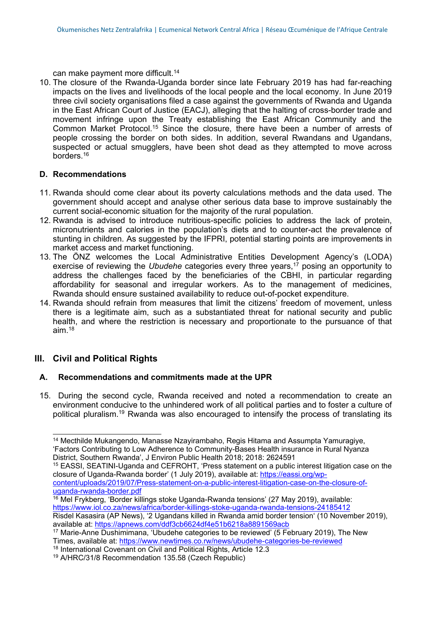can make payment more difficult. 14

10. The closure of the Rwanda-Uganda border since late February 2019 has had far-reaching impacts on the lives and livelihoods of the local people and the local economy. In June 2019 three civil society organisations filed <sup>a</sup> case against the governments of Rwanda and Uganda in the East African Court of Justice (EACJ), alleging that the halting of cross-border trade and movement infringe upon the Treaty establishing the East African Community and the Common Market Protocol.<sup>15</sup> Since the closure, there have been a number of arrests of people crossing the border on both sides. In addition, several Rwandans and Ugandans, suspected or actual smugglers, have been shot dead as they attempted to move across borders.<sup>16</sup>

#### **D. Recommendations**

- 11. Rwanda should come clear about its poverty calculations methods and the data used. The government should accept and analyse other serious data base to improve sustainably the current social-economic situation for the majority of the rural population.
- 12. Rwanda is advised to introduce nutritious-specific policies to address the lack of protein, micronutrients and calories in the population'<sup>s</sup> diets and to counter-act the prevalence of stunting in children. As suggested by the IFPRI, potential starting points are improvements in market access and market functioning.
- 13. The ÖNZ welcomes the Local Administrative Entities Development Agency'<sup>s</sup> (LODA) exercise of reviewing the *Ubudehe* categories every three years, 17 posing an opportunity to address the challenges faced by the beneficiaries of the CBHI, in particular regarding affordability for seasonal and irregular workers. As to the management of medicines, Rwanda should ensure sustained availability to reduce out-of-pocket expenditure.
- 14. Rwanda should refrain from measures that limit the citizens' freedom of movement, unless there is <sup>a</sup> legitimate aim, such as <sup>a</sup> substantiated threat for national security and public health, and where the restriction is necessary and proportionate to the pursuance of that aim. 18

#### **III. Civil and Political Rights**

#### **A. Recommendations and commitments made at the UPR**

15. During the second cycle, Rwanda received and noted <sup>a</sup> recommendation to create an environment conducive to the unhindered work of all political parties and to foster <sup>a</sup> culture of political pluralism. <sup>19</sup> Rwanda was also encouraged to intensify the process of translating its

<sup>15</sup> EASSI, SEATINI-Uganda and CEFROHT, 'Press statement on <sup>a</sup> public interest litigation case on the closure of Uganda-Rwanda border' (1 July 2019), available at: [https://eassi.org/wp](https://eassi.org/wp-content/uploads/2019/07/Press-statement-on-a-public-interest-litigation-case-on-the-closure-of-uganda-rwanda-border.pdf)[content/uploads/2019/07/Press-statement-on-a-public-interest-litigation-case-on-the-closure-of-](https://eassi.org/wp-content/uploads/2019/07/Press-statement-on-a-public-interest-litigation-case-on-the-closure-of-uganda-rwanda-border.pdf)

[uganda-rwanda-border.pdf](https://eassi.org/wp-content/uploads/2019/07/Press-statement-on-a-public-interest-litigation-case-on-the-closure-of-uganda-rwanda-border.pdf)

<sup>16</sup> Mel Frykberg, 'Border killings stoke Uganda-Rwanda tensions' (27 May 2019), available: <https://www.iol.co.za/news/africa/border-killings-stoke-uganda-rwanda-tensions-24185412> Risdel Kasasira (AP News), '2 Ugandans killed in Rwanda amid border tension' (10 November 2019), available at: <https://apnews.com/ddf3cb6624df4e51b6218a8891569acb>

<sup>17</sup> Marie-Anne Dushimimana, 'Ubudehe categories to be reviewed' (5 February 2019), The New Times, available at: <https://www.newtimes.co.rw/news/ubudehe-categories-be-reviewed>

<sup>14</sup> Mecthilde Mukangendo, Manasse Nzayirambaho, Regis Hitama and Assumpta Yamuragiye, 'Factors Contributing to Low Adherence to Community-Bases Health insurance in Rural Nyanza District, Southern Rwanda', J Environ Public Health 2018; 2018: 2624591

<sup>&</sup>lt;sup>18</sup> International Covenant on Civil and Political Rights, Article 12.3

<sup>19</sup> A/HRC/31/8 Recommendation 135.58 (Czech Republic)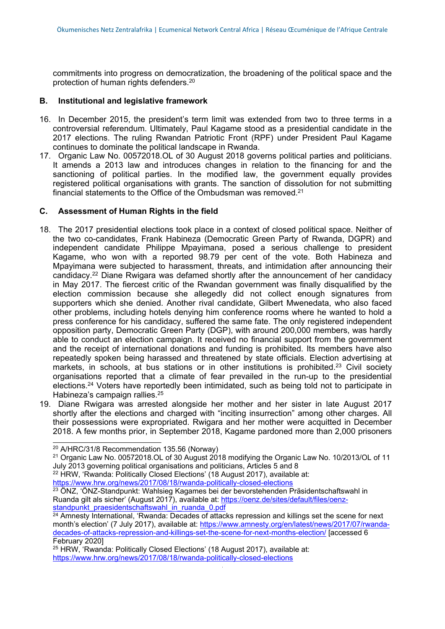commitments into progress on democratization, the broadening of the political space and the protection of human rights defenders. 20

#### **B. Institutional and legislative framework**

- 16. In December 2015, the president'<sup>s</sup> term limit was extended from two to three terms in <sup>a</sup> controversial referendum. Ultimately, Paul Kagame stood as <sup>a</sup> presidential candidate in the 2017 elections. The ruling Rwandan Patriotic Front (RPF) under President Paul Kagame continues to dominate the political landscape in Rwanda.
- 17. Organic Law No. 00572018.OL of 30 August 2018 governs political parties and politicians. It amends <sup>a</sup> 2013 law and introduces changes in relation to the financing for and the sanctioning of political parties. In the modified law, the government equally provides registered political organisations with grants. The sanction of dissolution for not submitting financial statements to the Office of the Ombudsman was removed. $^{24}$

#### **C. Assessment of Human Rights in the field**

- 18. The 2017 presidential elections took place in <sup>a</sup> context of closed political space. Neither of the two co-candidates, Frank Habineza (Democratic Green Party of Rwanda, DGPR) and independent candidate Philippe Mpayimana, posed <sup>a</sup> serious challenge to president Kagame, who won with <sup>a</sup> reported 98.79 per cent of the vote. Both Habineza and Mpayimana were subjected to harassment, threats, and intimidation after announcing their candidacy.<sup>22</sup> Diane Rwigara was defamed shortly after the announcement of her candidacy in May 2017. The fiercest critic of the Rwandan government was finally disqualified by the election commission because she allegedly did not collect enough signatures from supporters which she denied. Another rival candidate, Gilbert Mwenedata, who also faced other problems, including hotels denying him conference rooms where he wanted to hold <sup>a</sup> press conference for his candidacy, suffered the same fate. The only registered independent opposition party, Democratic Green Party (DGP), with around 200,000 members, was hardly able to conduct an election campaign. It received no financial support from the government and the receipt of international donations and funding is prohibited. Its members have also repeatedly spoken being harassed and threatened by state officials. Election advertising at markets, in schools, at bus stations or in other institutions is prohibited.<sup>23</sup> Civil society organisations reported that <sup>a</sup> climate of fear prevailed in the run-up to the presidential elections. <sup>24</sup> Voters have reportedly been intimidated, such as being told not to participate in Habineza'<sup>s</sup> campaign rallies. 25
- 19. Diane Rwigara was arrested alongside her mother and her sister in late August 2017 shortly after the elections and charged with "inciting insurrection" among other charges. All their possessions were expropriated. Rwigara and her mother were acquitted in December 2018. A few months prior, in September 2018, Kagame pardoned more than 2,000 prisoners

<sup>22</sup> HRW, 'Rwanda: Politically Closed Elections' (18 August 2017), available at: <https://www.hrw.org/news/2017/08/18/rwanda-politically-closed-elections>

<sup>20</sup> A/HRC/31/8 Recommendation 135.56 (Norway)

<sup>21</sup> Organic Law No. 00572018.OL of 30 August 2018 modifying the Organic Law No. 10/2013/OL of 11 July 2013 governing political organisations and politicians, Articles 5 and 8

<sup>&</sup>lt;sup>23</sup> ÖNZ, 'ÖNZ-Standpunkt: Wahlsieg Kagames bei der bevorstehenden Präsidentschaftswahl in Ruanda gilt als sicher' (August 2017), available at: [https://oenz.de/sites/default/files/oenz](https://oenz.de/sites/default/files/oenz-standpunkt_praesidentschaftswahl_in_ruanda_0.pdf)[standpunkt\\_praesidentschaftswahl\\_in\\_ruanda\\_0.pdf](https://oenz.de/sites/default/files/oenz-standpunkt_praesidentschaftswahl_in_ruanda_0.pdf)

<sup>&</sup>lt;sup>24</sup> Amnesty International, 'Rwanda: Decades of attacks repression and killings set the scene for next month's election' (7 July 2017), available at: [https://www.amnesty.org/en/latest/news/2017/07/rwanda](https://www.amnesty.org/en/latest/news/2017/07/rwanda-decades-of-attacks-repression-and-killings-set-the-scene-for-next-months-election/)[decades-of-attacks-repression-and-killings-set-the-scene-for-next-months-election/](https://www.amnesty.org/en/latest/news/2017/07/rwanda-decades-of-attacks-repression-and-killings-set-the-scene-for-next-months-election/) [accessed 6 February 2020]

<sup>25</sup> HRW, 'Rwanda: Politically Closed Elections' (18 August 2017), available at: <https://www.hrw.org/news/2017/08/18/rwanda-politically-closed-elections>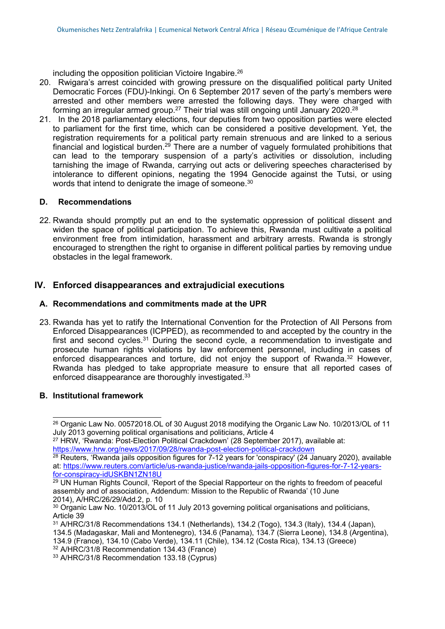including the opposition politician Victoire Ingabire. 26

- 20. Rwigara'<sup>s</sup> arrest coincided with growing pressure on the disqualified political party United Democratic Forces (FDU)-Inkingi. On 6 September 2017 seven of the party'<sup>s</sup> members were arrested and other members were arrested the following days. They were charged with forming an irregular armed group. $^{27}$  Their trial was still ongoing until January 2020. $^{28}$
- 21. In the 2018 parliamentary elections, four deputies from two opposition parties were elected to parliament for the first time, which can be considered <sup>a</sup> positive development. Yet, the registration requirements for <sup>a</sup> political party remain strenuous and are linked to <sup>a</sup> serious financial and logistical burden. $^{29}$  There are a number of vaguely formulated prohibitions that can lead to the temporary suspension of <sup>a</sup> party'<sup>s</sup> activities or dissolution, including tarnishing the image of Rwanda, carrying out acts or delivering speeches characterised by intolerance to different opinions, negating the 1994 Genocide against the Tutsi, or using words that intend to denigrate the image of someone. $^{\rm 30}$

#### **D. Recommendations**

22. Rwanda should promptly put an end to the systematic oppression of political dissent and widen the space of political participation. To achieve this, Rwanda must cultivate <sup>a</sup> political environment free from intimidation, harassment and arbitrary arrests. Rwanda is strongly encouraged to strengthen the right to organise in different political parties by removing undue obstacles in the legal framework.

## **IV. Enforced disappearances and extrajudicial executions**

#### **A. Recommendations and commitments made at the UPR**

23. Rwanda has yet to ratify the International Convention for the Protection of All Persons from Enforced Disappearances (ICPPED), as recommended to and accepted by the country in the first and second cycles.<sup>31</sup> During the second cycle, a recommendation to investigate and prosecute human rights violations by law enforcement personnel, including in cases of enforced disappearances and torture, did not enjoy the support of Rwanda. <sup>32</sup> However, Rwanda has pledged to take appropriate measure to ensure that all reported cases of enforced disappearance are thoroughly investigated.<sup>33</sup>

#### **B. Institutional framework**

<sup>26</sup> Organic Law No. 00572018.OL of 30 August 2018 modifying the Organic Law No. 10/2013/OL of 11 July 2013 governing political organisations and politicians, Article 4

<sup>&</sup>lt;sup>27</sup> HRW, 'Rwanda: Post-Election Political Crackdown' (28 September 2017), available at: <https://www.hrw.org/news/2017/09/28/rwanda-post-election-political-crackdown>

 $^\mathrm{28}$  Reuters, 'Rwanda jails opposition figures for 7-12 years for 'conspiracy' (24 January 2020), available at: [https://www.reuters.com/article/us-rwanda-justice/rwanda-jails-opposition-figures-for-7-12-years](https://www.reuters.com/article/us-rwanda-justice/rwanda-jails-opposition-figures-for-7-12-years-for-conspiracy-idUSKBN1ZN18U)[for-conspiracy-idUSKBN1ZN18U](https://www.reuters.com/article/us-rwanda-justice/rwanda-jails-opposition-figures-for-7-12-years-for-conspiracy-idUSKBN1ZN18U)

 $29$  UN Human Rights Council, 'Report of the Special Rapporteur on the rights to freedom of peaceful assembly and of association, Addendum: Mission to the Republic of Rwanda' (10 June 2014), A/HRC/26/29/Add.2, p. 10

<sup>&</sup>lt;sup>30</sup> Organic Law No. 10/2013/OL of 11 July 2013 governing political organisations and politicians, Article 39

<sup>31</sup> A/HRC/31/8 Recommendations 134.1 (Netherlands), 134.2 (Togo), 134.3 (Italy), 134.4 (Japan), 134.5 (Madagaskar, Mali and Montenegro), 134.6 (Panama), 134.7 (Sierra Leone), 134.8 (Argentina), 134.9 (France), 134.10 (Cabo Verde), 134.11 (Chile), 134.12 (Costa Rica), 134.13 (Greece) <sup>32</sup> A/HRC/31/8 Recommendation 134.43 (France)

<sup>33</sup> A/HRC/31/8 Recommendation 133.18 (Cyprus)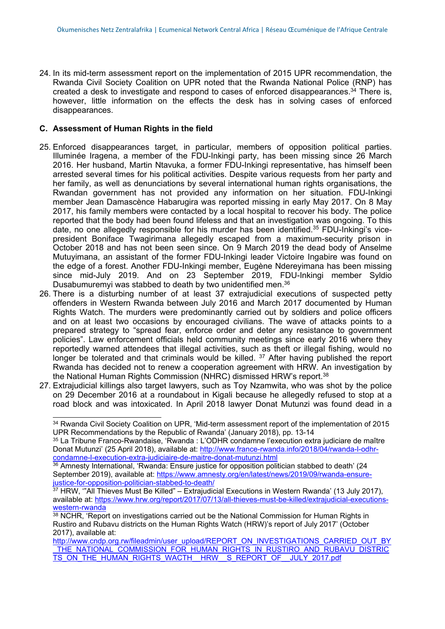24. In its mid-term assessment report on the implementation of 2015 UPR recommendation, the Rwanda Civil Society Coalition on UPR noted that the Rwanda National Police (RNP) has created a desk to investigate and respond to cases of enforced disappearances.<sup>34</sup> There is, however, little information on the effects the desk has in solving cases of enforced disappearances.

#### **C. Assessment of Human Rights in the field**

- 25. Enforced disappearances target, in particular, members of opposition political parties. Illuminée Iragena, <sup>a</sup> member of the FDU-Inkingi party, has been missing since 26 March 2016. Her husband, Martin Ntavuka, <sup>a</sup> former FDU-Inkingi representative, has himself been arrested several times for his political activities. Despite various requests from her party and her family, as well as denunciations by several international human rights organisations, the Rwandan government has not provided any information on her situation. FDU-Inkingi member Jean Damascènce Habarugira was reported missing in early May 2017. On 8 May 2017, his family members were contacted by <sup>a</sup> local hospital to recover his body. The police reported that the body had been found lifeless and that an investigation was ongoing. To this date, no one allegedly responsible for his murder has been identified.<sup>35</sup> FDU-Inkingi's vicepresident Boniface Twagirimana allegedly escaped from <sup>a</sup> maximum-security prison in October 2018 and has not been seen since. On 9 March 2019 the dead body of Anselme Mutuyimana, an assistant of the former FDU-Inkingi leader Victoire Ingabire was found on the edge of <sup>a</sup> forest. Another FDU-Inkingi member, Eugène Ndereyimana has been missing since mid-July 2019. And on 23 September 2019, FDU-Inkingi member Syldio Dusabumuremyi was stabbed to death by two unidentified men. 36
- 26. There is <sup>a</sup> disturbing number of at least 37 extrajudicial executions of suspected petty offenders in Western Rwanda between July 2016 and March 2017 documented by Human Rights Watch. The murders were predominantly carried out by soldiers and police officers and on at least two occasions by encouraged civilians. The wave of attacks points to <sup>a</sup> prepared strategy to "spread fear, enforce order and deter any resistance to government policies". Law enforcement officials held community meetings since early 2016 where they reportedly warned attendees that illegal activities, such as theft or illegal fishing, would no longer be tolerated and that criminals would be killed. <sup>37</sup> After having published the report Rwanda has decided not to renew <sup>a</sup> cooperation agreement with HRW. An investigation by the National Human Rights Commission (NHRC) dismissed HRW'<sup>s</sup> report. 38
- 27. Extrajudicial killings also target lawyers, such as Toy Nzamwita, who was shot by the police on 29 December 2016 at <sup>a</sup> roundabout in Kigali because he allegedly refused to stop at <sup>a</sup> road block and was intoxicated. In April 2018 lawyer Donat Mutunzi was found dead in <sup>a</sup>

<sup>34</sup> Rwanda Civil Society Coalition on UPR, 'Mid-term assessment report of the implementation of 2015 UPR Recommendations by the Republic of Rwanda' (January 2018), pp. 13-14

<sup>&</sup>lt;sup>35</sup> La Tribune Franco-Rwandaise, 'Rwanda : L'ODHR condamne l'execution extra judiciare de maître Donat Mutunzi' (25 April 2018), available at: [http://www.france-rwanda.info/2018/04/rwanda-l-odhr](http://www.france-rwanda.info/2018/04/rwanda-l-odhr-condamne-l-execution-extra-judiciaire-de-maitre-donat-mutunzi.html)[condamne-l-execution-extra-judiciaire-de-maitre-donat-mutunzi.html](http://www.france-rwanda.info/2018/04/rwanda-l-odhr-condamne-l-execution-extra-judiciaire-de-maitre-donat-mutunzi.html)

 $^{\rm 36}$  Amnesty International, 'Rwanda: Ensure justice for opposition politician stabbed to death' (24 September 2019), available at: [https://www.amnesty.org/en/latest/news/2019/09/rwanda-ensure](https://www.amnesty.org/en/latest/news/2019/09/rwanda-ensure-justice-for-opposition-politician-stabbed-to-death/)[justice-for-opposition-politician-stabbed-to-death/](https://www.amnesty.org/en/latest/news/2019/09/rwanda-ensure-justice-for-opposition-politician-stabbed-to-death/)

 $37$  HRW, "All Thieves Must Be Killed" – Extrajudicial Executions in Western Rwanda' (13 July 2017), available at: [https://www.hrw.org/report/2017/07/13/all-thieves-must-be-killed/extrajudicial-executions](https://www.hrw.org/report/2017/07/13/all-thieves-must-be-killed/extrajudicial-executions-western-rwanda)[western-rwanda](https://www.hrw.org/report/2017/07/13/all-thieves-must-be-killed/extrajudicial-executions-western-rwanda)

<sup>38</sup> NCHR, 'Report on investigations carried out be the National Commission for Human Rights in Rustiro and Rubavu districts on the Human Rights Watch (HRW)'<sup>s</sup> report of July 2017' (October 2017), available at:

[http://www.cndp.org.rw/fileadmin/user\\_upload/REPORT\\_ON\\_INVESTIGATIONS\\_CARRIED\\_OUT\\_BY](http://www.cndp.org.rw/fileadmin/user_upload/REPORT_ON_INVESTIGATIONS_CARRIED_OUT_BY_THE_NATIONAL_COMMISSION_FOR_HUMAN_RIGHTS_IN_RUSTIRO_AND_RUBAVU_DISTRICTS_ON_THE_HUMAN_RIGHTS_WACTH__HRW__S_REPORT_OF__JULY_2017.pdf) \_[THE\\_NATIONAL\\_COMMISSION\\_FOR\\_HUMAN\\_RIGHTS\\_IN\\_RUSTIRO\\_AND\\_RUBAVU\\_DISTRIC](http://www.cndp.org.rw/fileadmin/user_upload/REPORT_ON_INVESTIGATIONS_CARRIED_OUT_BY_THE_NATIONAL_COMMISSION_FOR_HUMAN_RIGHTS_IN_RUSTIRO_AND_RUBAVU_DISTRICTS_ON_THE_HUMAN_RIGHTS_WACTH__HRW__S_REPORT_OF__JULY_2017.pdf) [TS\\_ON\\_THE\\_HUMAN\\_RIGHTS\\_WACTH\\_\\_HRW\\_\\_S\\_REPORT\\_OF\\_\\_JULY\\_2017.pdf](http://www.cndp.org.rw/fileadmin/user_upload/REPORT_ON_INVESTIGATIONS_CARRIED_OUT_BY_THE_NATIONAL_COMMISSION_FOR_HUMAN_RIGHTS_IN_RUSTIRO_AND_RUBAVU_DISTRICTS_ON_THE_HUMAN_RIGHTS_WACTH__HRW__S_REPORT_OF__JULY_2017.pdf)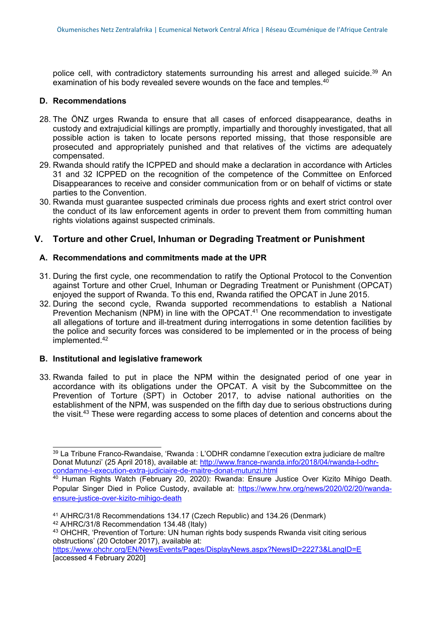police cell, with contradictory statements surrounding his arrest and alleged suicide.<sup>39</sup> An examination of his body revealed severe wounds on the face and temples. $^{40}$ 

#### **D. Recommendations**

- 28. The ÖNZ urges Rwanda to ensure that all cases of enforced disappearance, deaths in custody and extrajudicial killings are promptly, impartially and thoroughly investigated, that all possible action is taken to locate persons reported missing, that those responsible are prosecuted and appropriately punished and that relatives of the victims are adequately compensated.
- 29. Rwanda should ratify the ICPPED and should make <sup>a</sup> declaration in accordance with Articles 31 and 32 ICPPED on the recognition of the competence of the Committee on Enforced Disappearances to receive and consider communication from or on behalf of victims or state parties to the Convention.
- 30. Rwanda must guarantee suspected criminals due process rights and exert strict control over the conduct of its law enforcement agents in order to prevent them from committing human rights violations against suspected criminals.

#### **V. Torture and other Cruel, Inhuman or Degrading Treatment or Punishment**

#### **A. Recommendations and commitments made at the UPR**

- 31. During the first cycle, one recommendation to ratify the Optional Protocol to the Convention against Torture and other Cruel, Inhuman or Degrading Treatment or Punishment (OPCAT) enjoyed the support of Rwanda. To this end, Rwanda ratified the OPCAT in June 2015.
- 32. During the second cycle, Rwanda supported recommendations to establish <sup>a</sup> National Prevention Mechanism (NPM) in line with the OPCAT. <sup>41</sup> One recommendation to investigate all allegations of torture and ill-treatment during interrogations in some detention facilities by the police and security forces was considered to be implemented or in the process of being implemented. 42

#### **B. Institutional and legislative framework**

33. Rwanda failed to put in place the NPM within the designated period of one year in accordance with its obligations under the OPCAT. A visit by the Subcommittee on the Prevention of Torture (SPT) in October 2017, to advise national authorities on the establishment of the NPM, was suspended on the fifth day due to serious obstructions during the visit.<sup>43</sup> These were regarding access to some places of detention and concerns about the

<sup>&</sup>lt;sup>39</sup> La Tribune Franco-Rwandaise, 'Rwanda : L'ODHR condamne l'execution extra judiciare de maître Donat Mutunzi' (25 April 2018), available at: [http://www.france-rwanda.info/2018/04/rwanda-l-odhr](http://www.france-rwanda.info/2018/04/rwanda-l-odhr-condamne-l-execution-extra-judiciaire-de-maitre-donat-mutunzi.html)[condamne-l-execution-extra-judiciaire-de-maitre-donat-mutunzi.html](http://www.france-rwanda.info/2018/04/rwanda-l-odhr-condamne-l-execution-extra-judiciaire-de-maitre-donat-mutunzi.html)

<sup>40</sup> Human Rights Watch (February 20, 2020): Rwanda: Ensure Justice Over Kizito Mihigo Death. Popular Singer Died in Police Custody, available at: [https://www.hrw.org/news/2020/02/20/rwanda](https://www.hrw.org/news/2020/02/20/rwanda-ensure-justice-over-kizito-mihigo-death)[ensure-justice-over-kizito-mihigo-death](https://www.hrw.org/news/2020/02/20/rwanda-ensure-justice-over-kizito-mihigo-death)

<sup>41</sup> A/HRC/31/8 Recommendations 134.17 (Czech Republic) and 134.26 (Denmark)

<sup>42</sup> A/HRC/31/8 Recommendation 134.48 (Italy)

<sup>43</sup> OHCHR, 'Prevention of Torture: UN human rights body suspends Rwanda visit citing serious obstructions' (20 October 2017), available at:

<https://www.ohchr.org/EN/NewsEvents/Pages/DisplayNews.aspx?NewsID=22273&LangID=E> [accessed 4 February 2020]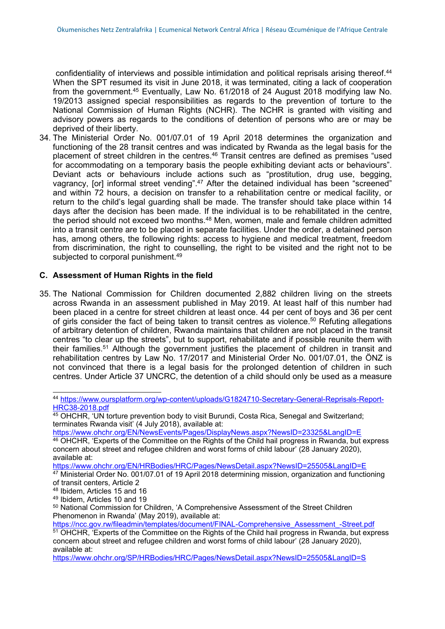confidentiality of interviews and possible intimidation and political reprisals arising thereof. 44 When the SPT resumed its visit in June 2018, it was terminated, citing <sup>a</sup> lack of cooperation from the government. <sup>45</sup> Eventually, Law No. 61/2018 of 24 August 2018 modifying law No. 19/2013 assigned special responsibilities as regards to the prevention of torture to the National Commission of Human Rights (NCHR). The NCHR is granted with visiting and advisory powers as regards to the conditions of detention of persons who are or may be deprived of their liberty.

34. The Ministerial Order No. 001/07.01 of 19 April 2018 determines the organization and functioning of the 28 transit centres and was indicated by Rwanda as the legal basis for the placement of street children in the centres.<sup>46</sup> Transit centres are defined as premises "used for accommodating on <sup>a</sup> temporary basis the people exhibiting deviant acts or behaviours". Deviant acts or behaviours include actions such as "prostitution, drug use, begging, vagrancy, [or] informal street vending".<sup>47</sup> After the detained individual has been "screened" and within 72 hours, <sup>a</sup> decision on transfer to <sup>a</sup> rehabilitation centre or medical facility, or return to the child'<sup>s</sup> legal guarding shall be made. The transfer should take place within 14 days after the decision has been made. If the individual is to be rehabilitated in the centre, the period should not exceed two months.<sup>48</sup> Men, women, male and female children admitted into <sup>a</sup> transit centre are to be placed in separate facilities. Under the order, <sup>a</sup> detained person has, among others, the following rights: access to hygiene and medical treatment, freedom from discrimination, the right to counselling, the right to be visited and the right not to be subjected to corporal punishment. 49

#### **C. Assessment of Human Rights in the field**

35. The National Commission for Children documented 2,882 children living on the streets across Rwanda in an assessment published in May 2019. At least half of this number had been placed in <sup>a</sup> centre for street children at least once. 44 per cent of boys and 36 per cent of girls consider the fact of being taken to transit centres as violence.<sup>50</sup> Refuting allegations of arbitrary detention of children, Rwanda maintains that children are not placed in the transit centres "to clear up the streets", but to support, rehabilitate and if possible reunite them with their families.<sup>51</sup> Although the government justifies the placement of children in transit and rehabilitation centres by Law No. 17/2017 and Ministerial Order No. 001/07.01, the ÖNZ is not convinced that there is <sup>a</sup> legal basis for the prolonged detention of children in such centres. Under Article 37 UNCRC, the detention of <sup>a</sup> child should only be used as <sup>a</sup> measure

44 [https://www.oursplatform.org/wp-content/uploads/G1824710-Secretary-General-Reprisals-Report-](https://www.oursplatform.org/wp-content/uploads/G1824710-Secretary-General-Reprisals-Report-HRC38-2018.pdf)[HRC38-2018.pdf](https://www.oursplatform.org/wp-content/uploads/G1824710-Secretary-General-Reprisals-Report-HRC38-2018.pdf)

<https://www.ohchr.org/EN/NewsEvents/Pages/DisplayNews.aspx?NewsID=23325&LangID=E>

<https://www.ohchr.org/EN/HRBodies/HRC/Pages/NewsDetail.aspx?NewsID=25505&LangID=E>

<sup>45</sup> OHCHR, 'UN torture prevention body to visit Burundi, Costa Rica, Senegal and Switzerland; terminates Rwanda visit' (4 July 2018), available at:

<sup>46</sup> OHCHR, 'Experts of the Committee on the Rights of the Child hail progress in Rwanda, but express concern about street and refugee children and worst forms of child labour' (28 January 2020), available at:

<sup>&</sup>lt;sup>47</sup> Ministerial Order No. 001/07.01 of 19 April 2018 determining mission, organization and functioning of transit centers, Article 2

<sup>48</sup> Ibidem, Articles 15 and 16

<sup>49</sup> Ibidem, Articles 10 and 19

<sup>50</sup> National Commission for Children, 'A Comprehensive Assessment of the Street Children Phenomenon in Rwanda' (May 2019), available at:

[https://ncc.gov.rw/fileadmin/templates/document/FINAL-Comprehensive\\_Assessment\\_-Street.pdf](https://ncc.gov.rw/fileadmin/templates/document/FINAL-Comprehensive_Assessment_-Street.pdf)

<sup>51</sup> OHCHR, 'Experts of the Committee on the Rights of the Child hail progress in Rwanda, but express concern about street and refugee children and worst forms of child labour' (28 January 2020), available at:

<https://www.ohchr.org/SP/HRBodies/HRC/Pages/NewsDetail.aspx?NewsID=25505&LangID=S>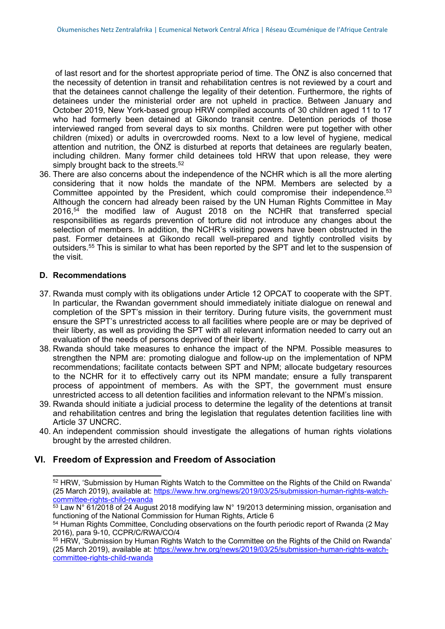of last resort and for the shortest appropriate period of time. The ÖNZ is also concerned that the necessity of detention in transit and rehabilitation centres is not reviewed by <sup>a</sup> court and that the detainees cannot challenge the legality of their detention. Furthermore, the rights of detainees under the ministerial order are not upheld in practice. Between January and October 2019, New York-based group HRW compiled accounts of 30 children aged 11 to 17 who had formerly been detained at Gikondo transit centre. Detention periods of those interviewed ranged from several days to six months. Children were put together with other children (mixed) or adults in overcrowded rooms. Next to <sup>a</sup> low level of hygiene, medical attention and nutrition, the ÖNZ is disturbed at reports that detainees are regularly beaten, including children. Many former child detainees told HRW that upon release, they were simply brought back to the streets. 52

36. There are also concerns about the independence of the NCHR which is all the more alerting considering that it now holds the mandate of the NPM. Members are selected by <sup>a</sup> Committee appointed by the President, which could compromise their independence.<sup>53</sup> Although the concern had already been raised by the UN Human Rights Committee in May 2016, 54 the modified law of August 2018 on the NCHR that transferred special responsibilities as regards prevention of torture did not introduce any changes about the selection of members. In addition, the NCHR'<sup>s</sup> visiting powers have been obstructed in the past. Former detainees at Gikondo recall well-prepared and tightly controlled visits by outsiders.<sup>55</sup> This is similar to what has been reported by the SPT and let to the suspension of the visit.

#### **D. Recommendations**

- 37. Rwanda must comply with its obligations under Article 12 OPCAT to cooperate with the SPT. In particular, the Rwandan government should immediately initiate dialogue on renewal and completion of the SPT'<sup>s</sup> mission in their territory. During future visits, the government must ensure the SPT'<sup>s</sup> unrestricted access to all facilities where people are or may be deprived of their liberty, as well as providing the SPT with all relevant information needed to carry out an evaluation of the needs of persons deprived of their liberty.
- 38. Rwanda should take measures to enhance the impact of the NPM. Possible measures to strengthen the NPM are: promoting dialogue and follow-up on the implementation of NPM recommendations; facilitate contacts between SPT and NPM; allocate budgetary resources to the NCHR for it to effectively carry out its NPM mandate; ensure <sup>a</sup> fully transparent process of appointment of members. As with the SPT, the government must ensure unrestricted access to all detention facilities and information relevant to the NPM's mission.
- 39. Rwanda should initiate <sup>a</sup> judicial process to determine the legality of the detentions at transit and rehabilitation centres and bring the legislation that regulates detention facilities line with Article 37 UNCRC.
- 40. An independent commission should investigate the allegations of human rights violations brought by the arrested children.

#### **VI. Freedom of Expression and Freedom of Association**

<sup>&</sup>lt;sup>52</sup> HRW, 'Submission by Human Rights Watch to the Committee on the Rights of the Child on Rwanda' (25 March 2019), available at: [https://www.hrw.org/news/2019/03/25/submission-human-rights-watch](https://www.hrw.org/news/2019/03/25/submission-human-rights-watch-committee-rights-child-rwanda)[committee-rights-child-rwanda](https://www.hrw.org/news/2019/03/25/submission-human-rights-watch-committee-rights-child-rwanda)

 $^{53}$  Law N° 61/2018 of 24 August 2018 modifying law N° 19/2013 determining mission, organisation and functioning of the National Commission for Human Rights, Article 6

<sup>54</sup> Human Rights Committee, Concluding observations on the fourth periodic report of Rwanda (2 May 2016), para 9-10, CCPR/C/RWA/CO/4

<sup>&</sup>lt;sup>55</sup> HRW, 'Submission by Human Rights Watch to the Committee on the Rights of the Child on Rwanda' (25 March 2019), available at: [https://www.hrw.org/news/2019/03/25/submission-human-rights-watch](https://www.hrw.org/news/2019/03/25/submission-human-rights-watch-committee-rights-child-rwanda)[committee-rights-child-rwanda](https://www.hrw.org/news/2019/03/25/submission-human-rights-watch-committee-rights-child-rwanda)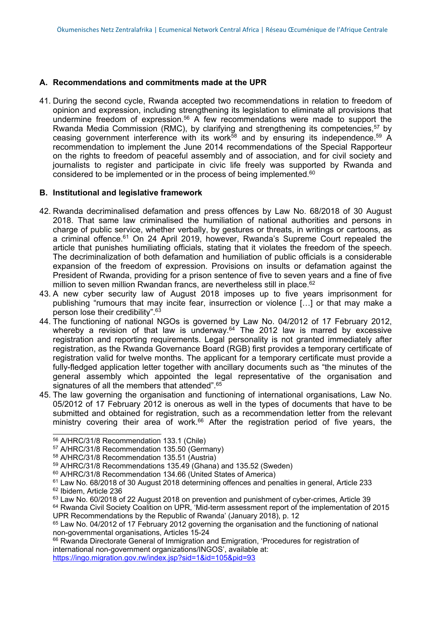#### **A. Recommendations and commitments made at the UPR**

41. During the second cycle, Rwanda accepted two recommendations in relation to freedom of opinion and expression, including strengthening its legislation to eliminate all provisions that undermine freedom of expression. <sup>56</sup> A few recommendations were made to support the Rwanda Media Commission (RMC), by clarifying and strengthening its competencies, 57 by ceasing government interference with its work $^{58}$  and by ensuring its independence. $^{59}$  A recommendation to implement the June 2014 recommendations of the Special Rapporteur on the rights to freedom of peaceful assembly and of association, and for civil society and journalists to register and participate in civic life freely was supported by Rwanda and considered to be implemented or in the process of being implemented. $^{60}$ 

#### **B. Institutional and legislative framework**

- 42. Rwanda decriminalised defamation and press offences by Law No. 68/2018 of 30 August 2018. That same law criminalised the humiliation of national authorities and persons in charge of public service, whether verbally, by gestures or threats, in writings or cartoons, as a criminal offence. <sup>61</sup> On 24 April 2019, however, Rwanda'<sup>s</sup> Supreme Court repealed the article that punishes humiliating officials, stating that it violates the freedom of the speech. The decriminalization of both defamation and humiliation of public officials is <sup>a</sup> considerable expansion of the freedom of expression. Provisions on insults or defamation against the President of Rwanda, providing for <sup>a</sup> prison sentence of five to seven years and <sup>a</sup> fine of five million to seven million Rwandan francs, are nevertheless still in place. 62
- 43. A new cyber security law of August 2018 imposes up to five years imprisonment for publishing "rumours that may incite fear, insurrection or violence […] or that may make <sup>a</sup> person lose their credibility". 63
- 44. The functioning of national NGOs is governed by Law No. 04/2012 of 17 February 2012, whereby <sup>a</sup> revision of that law is underway. 64 The 2012 law is marred by excessive registration and reporting requirements. Legal personality is not granted immediately after registration, as the Rwanda Governance Board (RGB) first provides <sup>a</sup> temporary certificate of registration valid for twelve months. The applicant for <sup>a</sup> temporary certificate must provide <sup>a</sup> fully-fledged application letter together with ancillary documents such as "the minutes of the general assembly which appointed the legal representative of the organisation and signatures of all the members that attended". 65
- 45. The law governing the organisation and functioning of international organisations, Law No. 05/2012 of 17 February 2012 is onerous as well in the types of documents that have to be submitted and obtained for registration, such as <sup>a</sup> recommendation letter from the relevant ministry covering their area of work. <sup>66</sup> After the registration period of five years, the

<sup>64</sup> Rwanda Civil Society Coalition on UPR, 'Mid-term assessment report of the implementation of 2015 UPR Recommendations by the Republic of Rwanda' (January 2018), p. 12

<sup>66</sup> Rwanda Directorate General of Immigration and Emigration, 'Procedures for registration of international non-government organizations/INGOS', available at: <https://ingo.migration.gov.rw/index.jsp?sid=1&id=105&pid=93>

<sup>56</sup> A/HRC/31/8 Recommendation 133.1 (Chile)

<sup>57</sup> A/HRC/31/8 Recommendation 135.50 (Germany)

<sup>58</sup> A/HRC/31/8 Recommendation 135.51 (Austria)

<sup>59</sup> A/HRC/31/8 Recommendations 135.49 (Ghana) and 135.52 (Sweden)

<sup>60</sup> A/HRC/31/8 Recommendation 134.66 (United States of America)

 $^{\rm 61}$  Law No. 68/2018 of 30 August 2018 determining offences and penalties in general, Article 233 <sup>62</sup> Ibidem, Article 236

 $^{\rm 63}$  Law No. 60/2018 of 22 August 2018 on prevention and punishment of cyber-crimes, Article 39

 $\rm ^{65}$  Law No. 04/2012 of 17 February 2012 governing the organisation and the functioning of national non-governmental organisations, Articles 15-24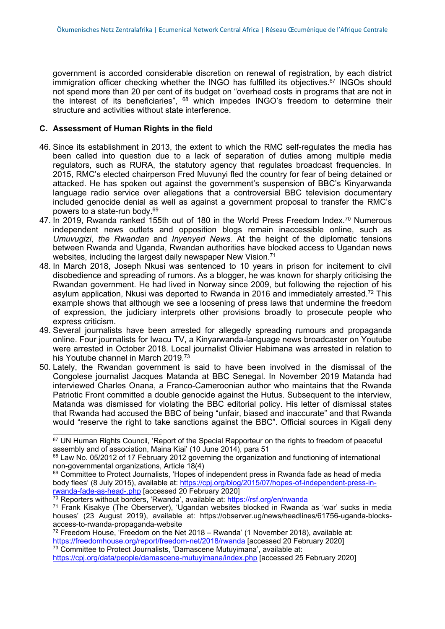government is accorded considerable discretion on renewal of registration, by each district immigration officer checking whether the INGO has fulfilled its objectives. 67 INGOs should not spend more than 20 per cent of its budget on "overhead costs in programs that are not in the interest of its beneficiaries", <sup>68</sup> which impedes INGO's freedom to determine their structure and activities without state interference.

#### **C. Assessment of Human Rights in the field**

- 46. Since its establishment in 2013, the extent to which the RMC self-regulates the media has been called into question due to <sup>a</sup> lack of separation of duties among multiple media regulators, such as RURA, the statutory agency that regulates broadcast frequencies. In 2015, RMC'<sup>s</sup> elected chairperson Fred Muvunyi fled the country for fear of being detained or attacked. He has spoken out against the government'<sup>s</sup> suspension of BBC'<sup>s</sup> Kinyarwanda language radio service over allegations that <sup>a</sup> controversial BBC television documentary included genocide denial as well as against <sup>a</sup> government proposal to transfer the RMC'<sup>s</sup> powers to <sup>a</sup> state-run body. 69
- 47. In 2019, Rwanda ranked 155th out of 180 in the World Press Freedom Index.<sup>70</sup> Numerous independent news outlets and opposition blogs remain inaccessible online, such as *Umuvugizi*, *the Rwandan* and *Inyenyeri News*. At the height of the diplomatic tensions between Rwanda and Uganda, Rwandan authorities have blocked access to Ugandan news websites, including the largest daily newspaper New Vision. $^{74}$
- 48. In March 2018, Joseph Nkusi was sentenced to 10 years in prison for incitement to civil disobedience and spreading of rumors. As <sup>a</sup> blogger, he was known for sharply criticising the Rwandan government. He had lived in Norway since 2009, but following the rejection of his asylum application, Nkusi was deported to Rwanda in 2016 and immediately arrested.<sup>72</sup> This example shows that although we see <sup>a</sup> loosening of press laws that undermine the freedom of expression, the judiciary interprets other provisions broadly to prosecute people who express criticism.
- 49. Several journalists have been arrested for allegedly spreading rumours and propaganda online. Four journalists for Iwacu TV, <sup>a</sup> Kinyarwanda-language news broadcaster on Youtube were arrested in October 2018. Local journalist Olivier Habimana was arrested in relation to his Youtube channel in March 2019.<sup>73</sup>
- 50. Lately, the Rwandan government is said to have been involved in the dismissal of the Congolese journalist Jacques Matanda at BBC Senegal. In November 2019 Matanda had interviewed Charles Onana, <sup>a</sup> Franco-Cameroonian author who maintains that the Rwanda Patriotic Front committed <sup>a</sup> double genocide against the Hutus. Subsequent to the interview, Matanda was dismissed for violating the BBC editorial policy. His letter of dismissal states that Rwanda had accused the BBC of being "unfair, biased and inaccurate" and that Rwanda would "reserve the right to take sanctions against the BBC". Official sources in Kigali deny

<sup>70</sup> Reporters without borders, 'Rwanda', available at: <https://rsf.org/en/rwanda>

<sup>&</sup>lt;sup>67</sup> UN Human Rights Council, 'Report of the Special Rapporteur on the rights to freedom of peaceful assembly and of association, Maina Kiai' (10 June 2014), para 51

 $^{68}$  Law No. 05/2012 of 17 February 2012 governing the organization and functioning of international non-governmental organizations, Article 18(4)

<sup>&</sup>lt;sup>69</sup> Committee to Protect Journalists, 'Hopes of independent press in Rwanda fade as head of media body flees' (8 July 2015), available at: [https://cpj.org/blog/2015/07/hopes-of-independent-press-in](https://cpj.org/blog/2015/07/hopes-of-independent-press-in-rwanda-fade-as-head-.php)[rwanda-fade-as-head-.php](https://cpj.org/blog/2015/07/hopes-of-independent-press-in-rwanda-fade-as-head-.php) [accessed 20 February 2020]

<sup>&</sup>lt;sup>71</sup> Frank Kisakye (The Oberserver), 'Ugandan websites blocked in Rwanda as 'war' sucks in media houses' (23 August 2019), available at: https://observer.ug/news/headlines/61756-uganda-blocksaccess-to-rwanda-propaganda-website

 $^{72}$  Freedom House, 'Freedom on the Net 2018 – Rwanda' (1 November 2018), available at: <https://freedomhouse.org/report/freedom-net/2018/rwanda> [accessed 20 February 2020]  $^{73}$  Committee to Protect Journalists, 'Damascene Mutuyimana', available at:

<https://cpj.org/data/people/damascene-mutuyimana/index.php> [accessed 25 February 2020]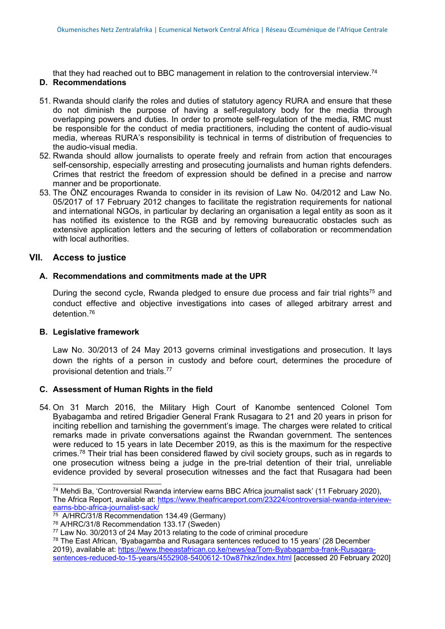that they had reached out to BBC management in relation to the controversial interview. 74

#### **D. Recommendations**

- 51. Rwanda should clarify the roles and duties of statutory agency RURA and ensure that these do not diminish the purpose of having <sup>a</sup> self-regulatory body for the media through overlapping powers and duties. In order to promote self-regulation of the media, RMC must be responsible for the conduct of media practitioners, including the content of audio-visual media, whereas RURA'<sup>s</sup> responsibility is technical in terms of distribution of frequencies to the audio-visual media.
- 52. Rwanda should allow journalists to operate freely and refrain from action that encourages self-censorship, especially arresting and prosecuting journalists and human rights defenders. Crimes that restrict the freedom of expression should be defined in <sup>a</sup> precise and narrow manner and be proportionate.
- 53. The ÖNZ encourages Rwanda to consider in its revision of Law No. 04/2012 and Law No. 05/2017 of 17 February 2012 changes to facilitate the registration requirements for national and international NGOs, in particular by declaring an organisation <sup>a</sup> legal entity as soon as it has notified its existence to the RGB and by removing bureaucratic obstacles such as extensive application letters and the securing of letters of collaboration or recommendation with local authorities.

#### **VII. Access to justice**

#### **A. Recommendations and commitments made at the UPR**

During the second cycle, Rwanda pledged to ensure due process and fair trial rights $^{\rm 75}$  and conduct effective and objective investigations into cases of alleged arbitrary arrest and detention. 76

#### **B. Legislative framework**

Law No. 30/2013 of 24 May 2013 governs criminal investigations and prosecution. It lays down the rights of <sup>a</sup> person in custody and before court, determines the procedure of provisional detention and trials. 77

#### **C. Assessment of Human Rights in the field**

54. On 31 March 2016, the Military High Court of Kanombe sentenced Colonel Tom Byabagamba and retired Brigadier General Frank Rusagara to 21 and 20 years in prison for inciting rebellion and tarnishing the government'<sup>s</sup> image. The charges were related to critical remarks made in private conversations against the Rwandan government. The sentences were reduced to 15 years in late December 2019, as this is the maximum for the respective crimes.<sup>78</sup> Their trial has been considered flawed by civil society groups, such as in regards to one prosecution witness being <sup>a</sup> judge in the pre-trial detention of their trial, unreliable evidence provided by several prosecution witnesses and the fact that Rusagara had been

<sup>74</sup> Mehdi Ba, 'Controversial Rwanda interview earns BBC Africa journalist sack' (11 February 2020), The Africa Report, available at: [https://www.theafricareport.com/23224/controversial-rwanda-interview](https://www.theafricareport.com/23224/controversial-rwanda-interview-earns-bbc-africa-journalist-sack/)[earns-bbc-africa-journalist-sack/](https://www.theafricareport.com/23224/controversial-rwanda-interview-earns-bbc-africa-journalist-sack/)

<sup>&</sup>lt;sup>75</sup> A/HRC/31/8 Recommendation 134.49 (Germany)

<sup>76</sup> A/HRC/31/8 Recommendation 133.17 (Sweden)

 $^{77}$  Law No. 30/2013 of 24 May 2013 relating to the code of criminal procedure

<sup>&</sup>lt;sup>78</sup> The East African, 'Byabagamba and Rusagara sentences reduced to 15 years' (28 December 2019), available at: [https://www.theeastafrican.co.ke/news/ea/Tom-Byabagamba-frank-Rusagara](https://www.theeastafrican.co.ke/news/ea/Tom-Byabagamba-frank-Rusagara-sentences-reduced-to-15-years/4552908-5400612-10w87hkz/index.html)[sentences-reduced-to-15-years/4552908-5400612-10w87hkz/index.html](https://www.theeastafrican.co.ke/news/ea/Tom-Byabagamba-frank-Rusagara-sentences-reduced-to-15-years/4552908-5400612-10w87hkz/index.html) [accessed 20 February 2020]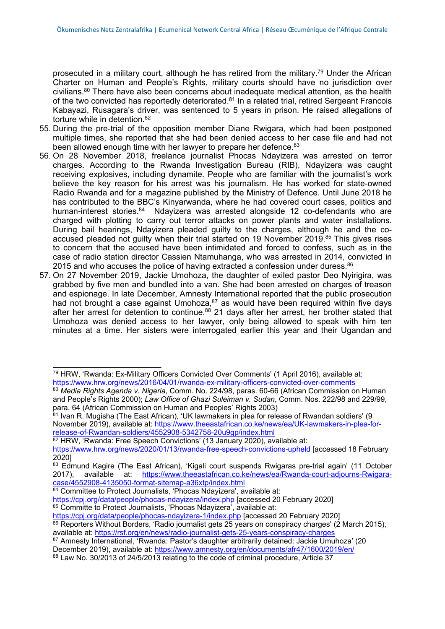prosecuted in a military court, although he has retired from the military.<sup>79</sup> Under the African Charter on Human and People'<sup>s</sup> Rights, military courts should have no jurisdiction over civilians.<sup>80</sup> There have also been concerns about inadequate medical attention, as the health of the two convicted has reportedly deteriorated.<sup>81</sup> In a related trial, retired Sergeant Francois Kabayazi, Rusagara'<sup>s</sup> driver, was sentenced to 5 years in prison. He raised allegations of torture while in detention. 82

- 55. During the pre-trial of the opposition member Diane Rwigara, which had been postponed multiple times, she reported that she had been denied access to her case file and had not been allowed enough time with her lawyer to prepare her defence.<sup>83</sup>
- 56. On 28 November 2018, freelance journalist Phocas Ndayizera was arrested on terror charges. According to the Rwanda Investigation Bureau (RIB), Ndayizera was caught receiving explosives, including dynamite. People who are familiar with the journalist'<sup>s</sup> work believe the key reason for his arrest was his journalism. He has worked for state-owned Radio Rwanda and for <sup>a</sup> magazine published by the Ministry of Defence. Until June 2018 he has contributed to the BBC'<sup>s</sup> Kinyarwanda, where he had covered court cases, politics and human-interest stories.<sup>84</sup> Ndayizera was arrested alongside 12 co-defendants who are charged with plotting to carry out terror attacks on power plants and water installations. During bail hearings, Ndayizera pleaded guilty to the charges, although he and the coaccused pleaded not guilty when their trial started on 19 November 2019.<sup>85</sup> This gives rises to concern that the accused have been intimidated and forced to confess, such as in the case of radio station director Cassien Ntamuhanga, who was arrested in 2014, convicted in 2015 and who accuses the police of having extracted a confession under duress. $^{86}$
- 57. On 27 November 2019, Jackie Umohoza, the daughter of exiled pastor Deo Nyirigira, was grabbed by five men and bundled into <sup>a</sup> van. She had been arrested on charges of treason and espionage. In late December, Amnesty International reported that the public prosecution had not brought a case against Umohoza,<sup>87</sup> as would have been required within five days after her arrest for detention to continue.<sup>88</sup> 21 days after her arrest, her brother stated that Umohoza was denied access to her lawyer, only being allowed to speak with him ten minutes at <sup>a</sup> time. Her sisters were interrogated earlier this year and their Ugandan and

 $^{\text{81}}$  Ivan R. Mugisha (The East African), 'UK lawmakers in plea for release of Rwandan soldiers' (9 November 2019), available at: [https://www.theeastafrican.co.ke/news/ea/UK-lawmakers-in-plea-for](https://www.theeastafrican.co.ke/news/ea/UK-lawmakers-in-plea-for-release-of-Rwandan-soldiers/4552908-5342758-20u9gp/index.html)[release-of-Rwandan-soldiers/4552908-5342758-20u9gp/index.html](https://www.theeastafrican.co.ke/news/ea/UK-lawmakers-in-plea-for-release-of-Rwandan-soldiers/4552908-5342758-20u9gp/index.html)

82 HRW, 'Rwanda: Free Speech Convictions' (13 January 2020), available at:

<https://www.hrw.org/news/2020/01/13/rwanda-free-speech-convictions-upheld> [accessed 18 February 2020]

<https://cpj.org/data/people/phocas-ndayizera-1/index.php> [accessed 20 February 2020] 86 Reporters Without Borders, 'Radio journalist gets 25 years on conspiracy charges' (2 March 2015),

<sup>79</sup> HRW, 'Rwanda: Ex-Military Officers Convicted Over Comments' (1 April 2016), available at: <https://www.hrw.org/news/2016/04/01/rwanda-ex-military-officers-convicted-over-comments>

<sup>80</sup> *Media Rights Agenda v. Nigeria*, Comm. No. 224/98, paras. 60-66 (African Commission on Human and People'<sup>s</sup> Rights 2000); *Law Office of Ghazi Suleiman v. Sudan*, Comm. Nos. 222/98 and 229/99, para. 64 (African Commission on Human and Peoples' Rights 2003)

<sup>&</sup>lt;sup>83</sup> Edmund Kagire (The East African), 'Kigali court suspends Rwigaras pre-trial again' (11 October<br>2017). available at: https://www.theeastafrican.co.ke/news/ea/Rwanda-court-adjourns-Rwigaraavailable at: [https://www.theeastafrican.co.ke/news/ea/Rwanda-court-adjourns-Rwigara](https://www.theeastafrican.co.ke/news/ea/Rwanda-court-adjourns-Rwigara-case/4552908-4135050-format-sitemap-a36xtp/index.html)[case/4552908-4135050-format-sitemap-a36xtp/index.html](https://www.theeastafrican.co.ke/news/ea/Rwanda-court-adjourns-Rwigara-case/4552908-4135050-format-sitemap-a36xtp/index.html)

<sup>84</sup> Committee to Protect Journalists, 'Phocas Ndayizera', available at:

<https://cpj.org/data/people/phocas-ndayizera/index.php> [accessed 20 February 2020] 85 Committe to Protect Journalists, 'Phocas Ndayizera', available at:

available at: <https://rsf.org/en/news/radio-journalist-gets-25-years-conspiracy-charges> 87 Amnesty International, 'Rwanda: Pastor's daughter arbitrarily detained: Jackie Umuhoza' (20

December 2019), available at: <https://www.amnesty.org/en/documents/afr47/1600/2019/en/>

 $^\mathrm{88}$  Law No. 30/2013 of 24/5/2013 relating to the code of criminal procedure, Article 37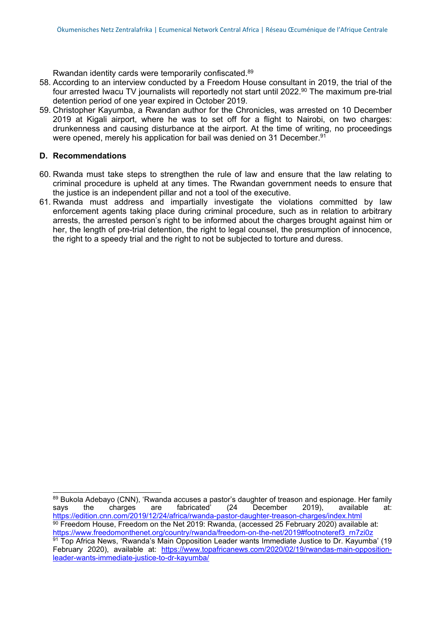Rwandan identity cards were temporarily confiscated. 89

- 58. According to an interview conducted by <sup>a</sup> Freedom House consultant in 2019, the trial of the four arrested Iwacu TV journalists will reportedly not start until 2022. 90 The maximum pre-trial detention period of one year expired in October 2019.
- 59. Christopher Kayumba, <sup>a</sup> Rwandan author for the Chronicles, was arrested on 10 December 2019 at Kigali airport, where he was to set off for <sup>a</sup> flight to Nairobi, on two charges: drunkenness and causing disturbance at the airport. At the time of writing, no proceedings were opened, merely his application for bail was denied on 31 December. $^{\rm 9^{\circ}}$

#### **D. Recommendations**

- 60. Rwanda must take steps to strengthen the rule of law and ensure that the law relating to criminal procedure is upheld at any times. The Rwandan government needs to ensure that the justice is an independent pillar and not <sup>a</sup> tool of the executive.
- 61. Rwanda must address and impartially investigate the violations committed by law enforcement agents taking place during criminal procedure, such as in relation to arbitrary arrests, the arrested person'<sup>s</sup> right to be informed about the charges brought against him or her, the length of pre-trial detention, the right to legal counsel, the presumption of innocence, the right to <sup>a</sup> speedy trial and the right to not be subjected to torture and duress.

 $89$  Bukola Adebayo (CNN), 'Rwanda accuses a pastor's daughter of treason and espionage. Her family savs<br>savs the charges are fabricated' (24 December 2019). says the charges are fabricated' (24 December 2019), available at: <https://edition.cnn.com/2019/12/24/africa/rwanda-pastor-daughter-treason-charges/index.html>  $^{\rm 90}$  Freedom House, Freedom on the Net 2019: Rwanda, (accessed 25 February 2020) available at: <u>[https://www.freedomonthenet.org/country/rwanda/freedom-on-the-net/2019#footnoteref3\\_rn7zi0z](https://www.freedomonthenet.org/country/rwanda/freedom-on-the-net/2019#footnoteref3_rn7zi0z)</u><br><sup>91</sup> Top Africa News, 'Rwanda's Main Opposition Leader wants Immediate Justice to Dr. Kayumba' (19 February 2020), available at: https://www.topafricanews.com/2020/02/19/rwandas-main-oppositionleader-wants-immediate-justice-to-dr-kayumba/